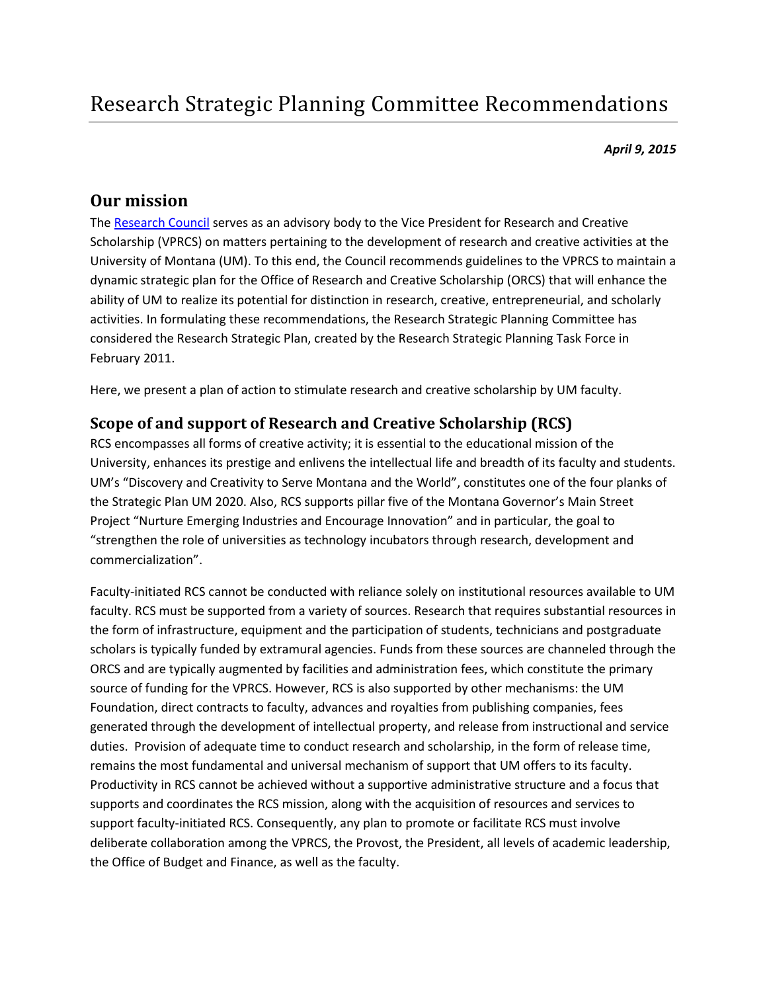*April 9, 2015*

# **Our mission**

The [Research Council](http://www.umt.edu/research/resources/council/default.php%23documents) serves as an advisory body to the Vice President for Research and Creative Scholarship (VPRCS) on matters pertaining to the development of research and creative activities at the University of Montana (UM). To this end, the Council recommends guidelines to the VPRCS to maintain a dynamic strategic plan for the Office of Research and Creative Scholarship (ORCS) that will enhance the ability of UM to realize its potential for distinction in research, creative, entrepreneurial, and scholarly activities. In formulating these recommendations, the Research Strategic Planning Committee has considered the Research Strategic Plan, created by the Research Strategic Planning Task Force in February 2011.

Here, we present a plan of action to stimulate research and creative scholarship by UM faculty.

## **Scope of and support of Research and Creative Scholarship (RCS)**

RCS encompasses all forms of creative activity; it is essential to the educational mission of the University, enhances its prestige and enlivens the intellectual life and breadth of its faculty and students. UM's "Discovery and Creativity to Serve Montana and the World", constitutes one of the four planks of the Strategic Plan UM 2020. Also, RCS supports pillar five of the Montana Governor's Main Street Project "Nurture Emerging Industries and Encourage Innovation" and in particular, the goal to "strengthen the role of universities as technology incubators through research, development and commercialization".

Faculty-initiated RCS cannot be conducted with reliance solely on institutional resources available to UM faculty. RCS must be supported from a variety of sources. Research that requires substantial resources in the form of infrastructure, equipment and the participation of students, technicians and postgraduate scholars is typically funded by extramural agencies. Funds from these sources are channeled through the ORCS and are typically augmented by facilities and administration fees, which constitute the primary source of funding for the VPRCS. However, RCS is also supported by other mechanisms: the UM Foundation, direct contracts to faculty, advances and royalties from publishing companies, fees generated through the development of intellectual property, and release from instructional and service duties. Provision of adequate time to conduct research and scholarship, in the form of release time, remains the most fundamental and universal mechanism of support that UM offers to its faculty. Productivity in RCS cannot be achieved without a supportive administrative structure and a focus that supports and coordinates the RCS mission, along with the acquisition of resources and services to support faculty-initiated RCS. Consequently, any plan to promote or facilitate RCS must involve deliberate collaboration among the VPRCS, the Provost, the President, all levels of academic leadership, the Office of Budget and Finance, as well as the faculty.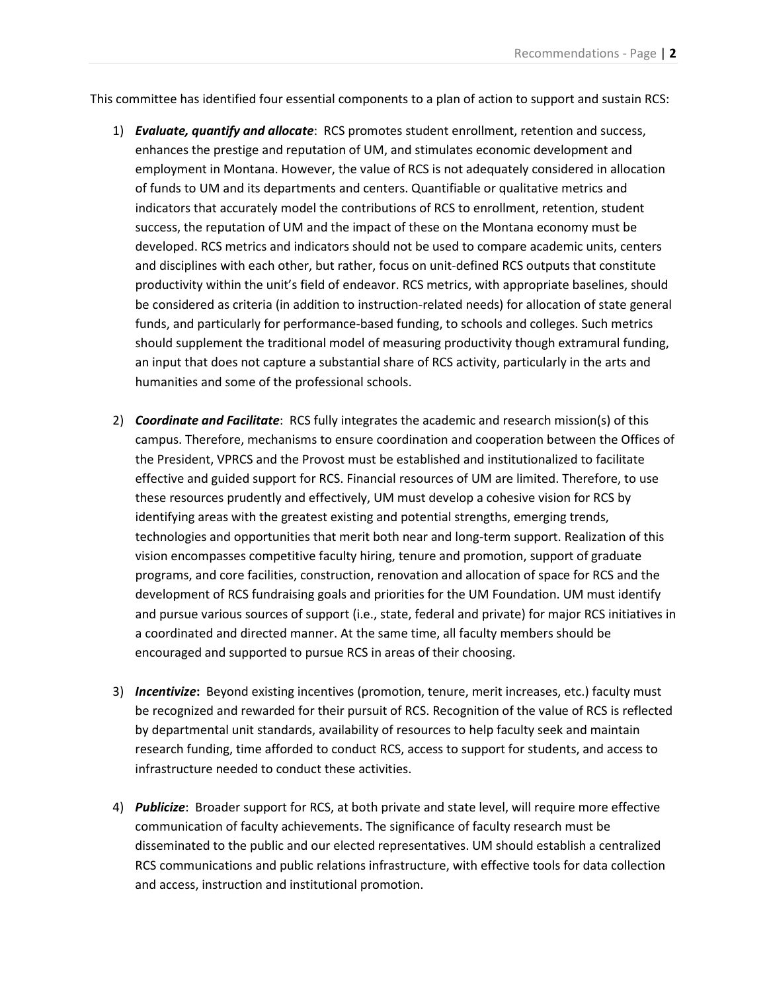This committee has identified four essential components to a plan of action to support and sustain RCS:

- 1) *Evaluate, quantify and allocate*: RCS promotes student enrollment, retention and success, enhances the prestige and reputation of UM, and stimulates economic development and employment in Montana. However, the value of RCS is not adequately considered in allocation of funds to UM and its departments and centers. Quantifiable or qualitative metrics and indicators that accurately model the contributions of RCS to enrollment, retention, student success, the reputation of UM and the impact of these on the Montana economy must be developed. RCS metrics and indicators should not be used to compare academic units, centers and disciplines with each other, but rather, focus on unit-defined RCS outputs that constitute productivity within the unit's field of endeavor. RCS metrics, with appropriate baselines, should be considered as criteria (in addition to instruction-related needs) for allocation of state general funds, and particularly for performance-based funding, to schools and colleges. Such metrics should supplement the traditional model of measuring productivity though extramural funding, an input that does not capture a substantial share of RCS activity, particularly in the arts and humanities and some of the professional schools.
- 2) *Coordinate and Facilitate*: RCS fully integrates the academic and research mission(s) of this campus. Therefore, mechanisms to ensure coordination and cooperation between the Offices of the President, VPRCS and the Provost must be established and institutionalized to facilitate effective and guided support for RCS. Financial resources of UM are limited. Therefore, to use these resources prudently and effectively, UM must develop a cohesive vision for RCS by identifying areas with the greatest existing and potential strengths, emerging trends, technologies and opportunities that merit both near and long-term support. Realization of this vision encompasses competitive faculty hiring, tenure and promotion, support of graduate programs, and core facilities, construction, renovation and allocation of space for RCS and the development of RCS fundraising goals and priorities for the UM Foundation. UM must identify and pursue various sources of support (i.e., state, federal and private) for major RCS initiatives in a coordinated and directed manner. At the same time, all faculty members should be encouraged and supported to pursue RCS in areas of their choosing.
- 3) *Incentivize***:** Beyond existing incentives (promotion, tenure, merit increases, etc.) faculty must be recognized and rewarded for their pursuit of RCS. Recognition of the value of RCS is reflected by departmental unit standards, availability of resources to help faculty seek and maintain research funding, time afforded to conduct RCS, access to support for students, and access to infrastructure needed to conduct these activities.
- 4) *Publicize*: Broader support for RCS, at both private and state level, will require more effective communication of faculty achievements. The significance of faculty research must be disseminated to the public and our elected representatives. UM should establish a centralized RCS communications and public relations infrastructure, with effective tools for data collection and access, instruction and institutional promotion.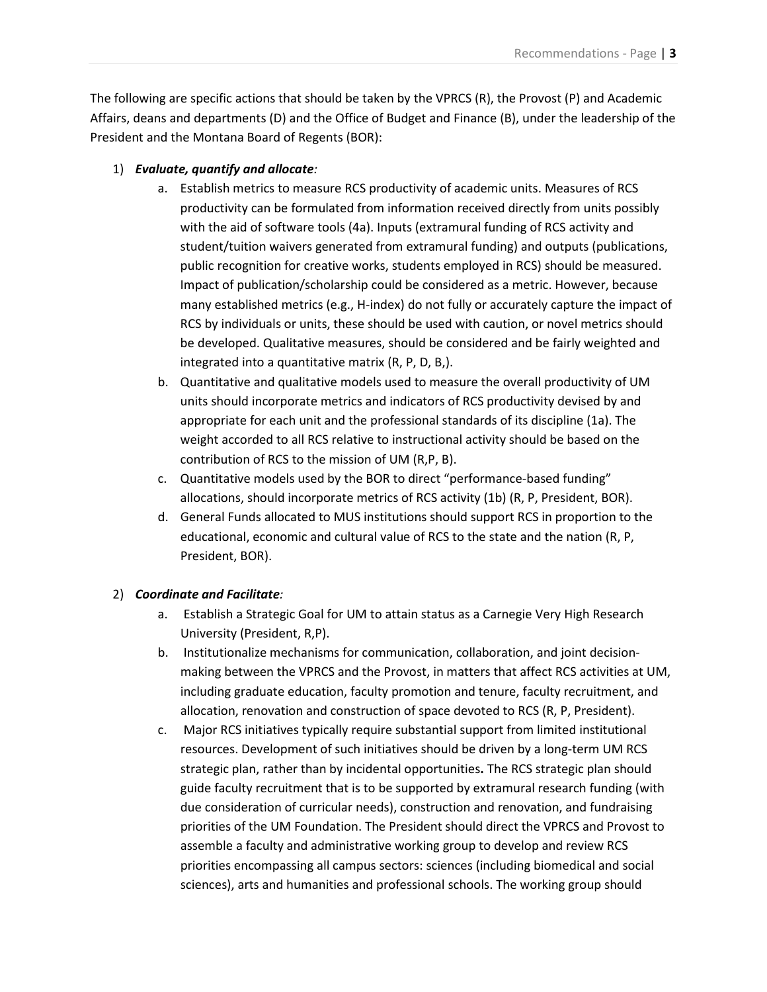The following are specific actions that should be taken by the VPRCS (R), the Provost (P) and Academic Affairs, deans and departments (D) and the Office of Budget and Finance (B), under the leadership of the President and the Montana Board of Regents (BOR):

#### 1) *Evaluate, quantify and allocate:*

- a. Establish metrics to measure RCS productivity of academic units. Measures of RCS productivity can be formulated from information received directly from units possibly with the aid of software tools (4a). Inputs (extramural funding of RCS activity and student/tuition waivers generated from extramural funding) and outputs (publications, public recognition for creative works, students employed in RCS) should be measured. Impact of publication/scholarship could be considered as a metric. However, because many established metrics (e.g., H-index) do not fully or accurately capture the impact of RCS by individuals or units, these should be used with caution, or novel metrics should be developed. Qualitative measures, should be considered and be fairly weighted and integrated into a quantitative matrix (R, P, D, B,).
- b. Quantitative and qualitative models used to measure the overall productivity of UM units should incorporate metrics and indicators of RCS productivity devised by and appropriate for each unit and the professional standards of its discipline (1a). The weight accorded to all RCS relative to instructional activity should be based on the contribution of RCS to the mission of UM (R,P, B).
- c. Quantitative models used by the BOR to direct "performance-based funding" allocations, should incorporate metrics of RCS activity (1b) (R, P, President, BOR).
- d. General Funds allocated to MUS institutions should support RCS in proportion to the educational, economic and cultural value of RCS to the state and the nation (R, P, President, BOR).

### 2) *Coordinate and Facilitate:*

- a. Establish a Strategic Goal for UM to attain status as a Carnegie Very High Research University (President, R,P).
- b. Institutionalize mechanisms for communication, collaboration, and joint decisionmaking between the VPRCS and the Provost, in matters that affect RCS activities at UM, including graduate education, faculty promotion and tenure, faculty recruitment, and allocation, renovation and construction of space devoted to RCS (R, P, President).
- c. Major RCS initiatives typically require substantial support from limited institutional resources. Development of such initiatives should be driven by a long-term UM RCS strategic plan, rather than by incidental opportunities**.** The RCS strategic plan should guide faculty recruitment that is to be supported by extramural research funding (with due consideration of curricular needs), construction and renovation, and fundraising priorities of the UM Foundation. The President should direct the VPRCS and Provost to assemble a faculty and administrative working group to develop and review RCS priorities encompassing all campus sectors: sciences (including biomedical and social sciences), arts and humanities and professional schools. The working group should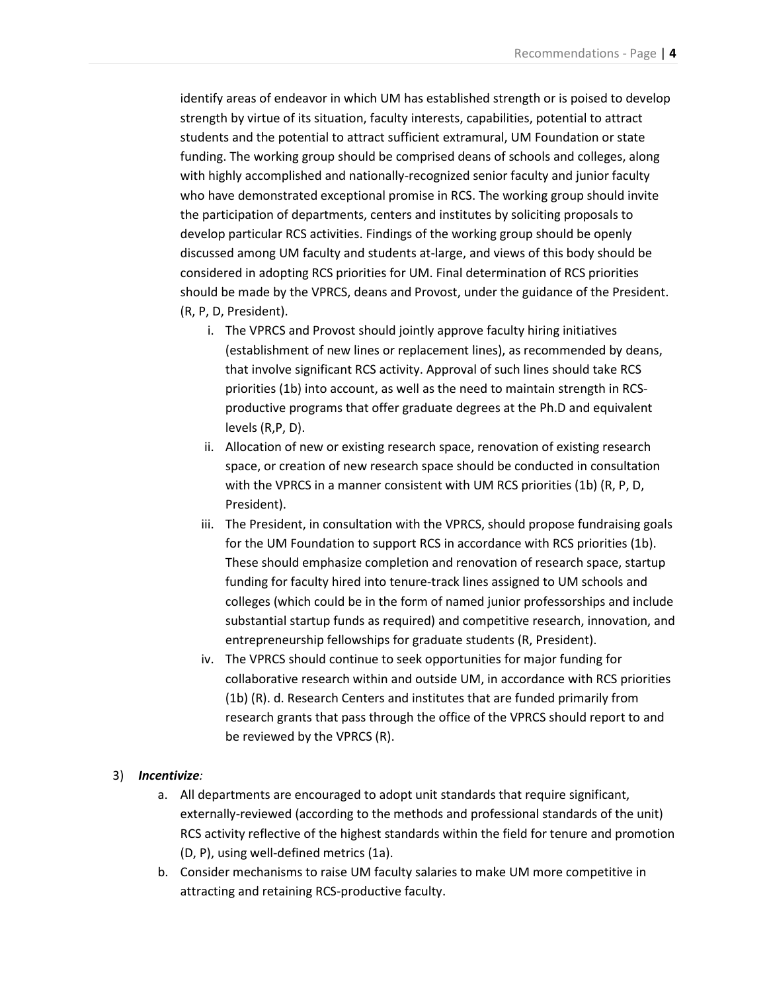identify areas of endeavor in which UM has established strength or is poised to develop strength by virtue of its situation, faculty interests, capabilities, potential to attract students and the potential to attract sufficient extramural, UM Foundation or state funding. The working group should be comprised deans of schools and colleges, along with highly accomplished and nationally-recognized senior faculty and junior faculty who have demonstrated exceptional promise in RCS. The working group should invite the participation of departments, centers and institutes by soliciting proposals to develop particular RCS activities. Findings of the working group should be openly discussed among UM faculty and students at-large, and views of this body should be considered in adopting RCS priorities for UM. Final determination of RCS priorities should be made by the VPRCS, deans and Provost, under the guidance of the President. (R, P, D, President).

- i. The VPRCS and Provost should jointly approve faculty hiring initiatives (establishment of new lines or replacement lines), as recommended by deans, that involve significant RCS activity. Approval of such lines should take RCS priorities (1b) into account, as well as the need to maintain strength in RCSproductive programs that offer graduate degrees at the Ph.D and equivalent levels (R,P, D).
- ii. Allocation of new or existing research space, renovation of existing research space, or creation of new research space should be conducted in consultation with the VPRCS in a manner consistent with UM RCS priorities (1b) (R, P, D, President).
- iii. The President, in consultation with the VPRCS, should propose fundraising goals for the UM Foundation to support RCS in accordance with RCS priorities (1b). These should emphasize completion and renovation of research space, startup funding for faculty hired into tenure-track lines assigned to UM schools and colleges (which could be in the form of named junior professorships and include substantial startup funds as required) and competitive research, innovation, and entrepreneurship fellowships for graduate students (R, President).
- iv. The VPRCS should continue to seek opportunities for major funding for collaborative research within and outside UM, in accordance with RCS priorities (1b) (R). d. Research Centers and institutes that are funded primarily from research grants that pass through the office of the VPRCS should report to and be reviewed by the VPRCS (R).

#### 3) *Incentivize:*

- a. All departments are encouraged to adopt unit standards that require significant, externally-reviewed (according to the methods and professional standards of the unit) RCS activity reflective of the highest standards within the field for tenure and promotion (D, P), using well-defined metrics (1a).
- b. Consider mechanisms to raise UM faculty salaries to make UM more competitive in attracting and retaining RCS-productive faculty.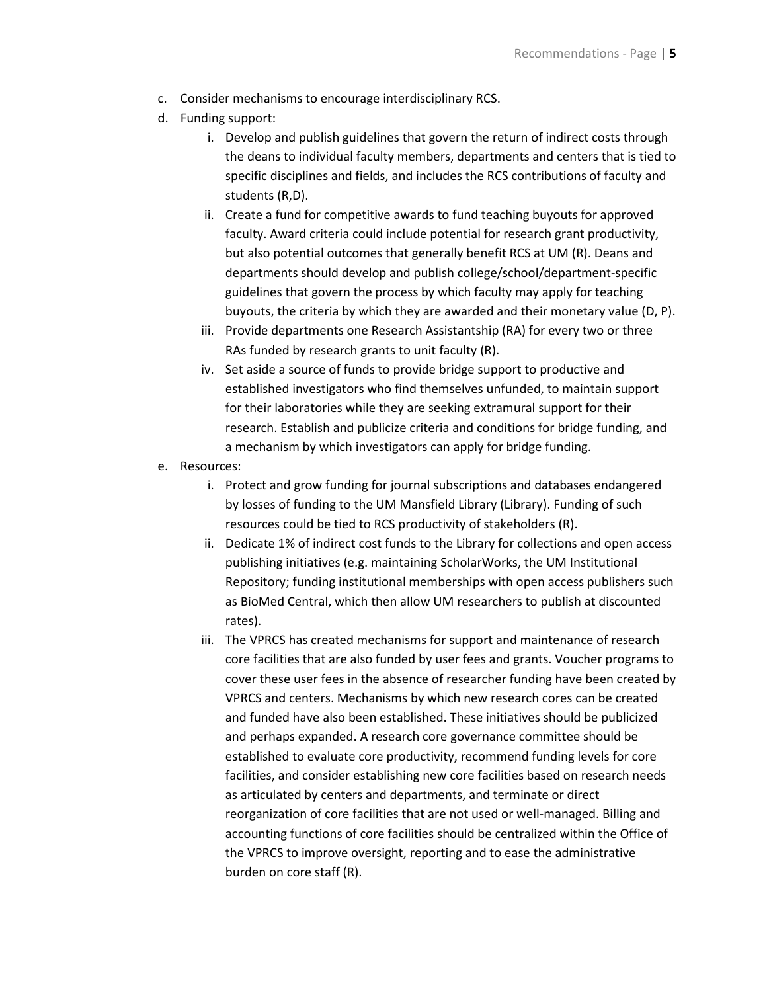- c. Consider mechanisms to encourage interdisciplinary RCS.
- d. Funding support:
	- i. Develop and publish guidelines that govern the return of indirect costs through the deans to individual faculty members, departments and centers that is tied to specific disciplines and fields, and includes the RCS contributions of faculty and students (R,D).
	- ii. Create a fund for competitive awards to fund teaching buyouts for approved faculty. Award criteria could include potential for research grant productivity, but also potential outcomes that generally benefit RCS at UM (R). Deans and departments should develop and publish college/school/department-specific guidelines that govern the process by which faculty may apply for teaching buyouts, the criteria by which they are awarded and their monetary value (D, P).
	- iii. Provide departments one Research Assistantship (RA) for every two or three RAs funded by research grants to unit faculty (R).
	- iv. Set aside a source of funds to provide bridge support to productive and established investigators who find themselves unfunded, to maintain support for their laboratories while they are seeking extramural support for their research. Establish and publicize criteria and conditions for bridge funding, and a mechanism by which investigators can apply for bridge funding.
- e. Resources:
	- i. Protect and grow funding for journal subscriptions and databases endangered by losses of funding to the UM Mansfield Library (Library). Funding of such resources could be tied to RCS productivity of stakeholders (R).
	- ii. Dedicate 1% of indirect cost funds to the Library for collections and open access publishing initiatives (e.g. maintaining ScholarWorks, the UM Institutional Repository; funding institutional memberships with open access publishers such as BioMed Central, which then allow UM researchers to publish at discounted rates).
	- iii. The VPRCS has created mechanisms for support and maintenance of research core facilities that are also funded by user fees and grants. Voucher programs to cover these user fees in the absence of researcher funding have been created by VPRCS and centers. Mechanisms by which new research cores can be created and funded have also been established. These initiatives should be publicized and perhaps expanded. A research core governance committee should be established to evaluate core productivity, recommend funding levels for core facilities, and consider establishing new core facilities based on research needs as articulated by centers and departments, and terminate or direct reorganization of core facilities that are not used or well-managed. Billing and accounting functions of core facilities should be centralized within the Office of the VPRCS to improve oversight, reporting and to ease the administrative burden on core staff (R).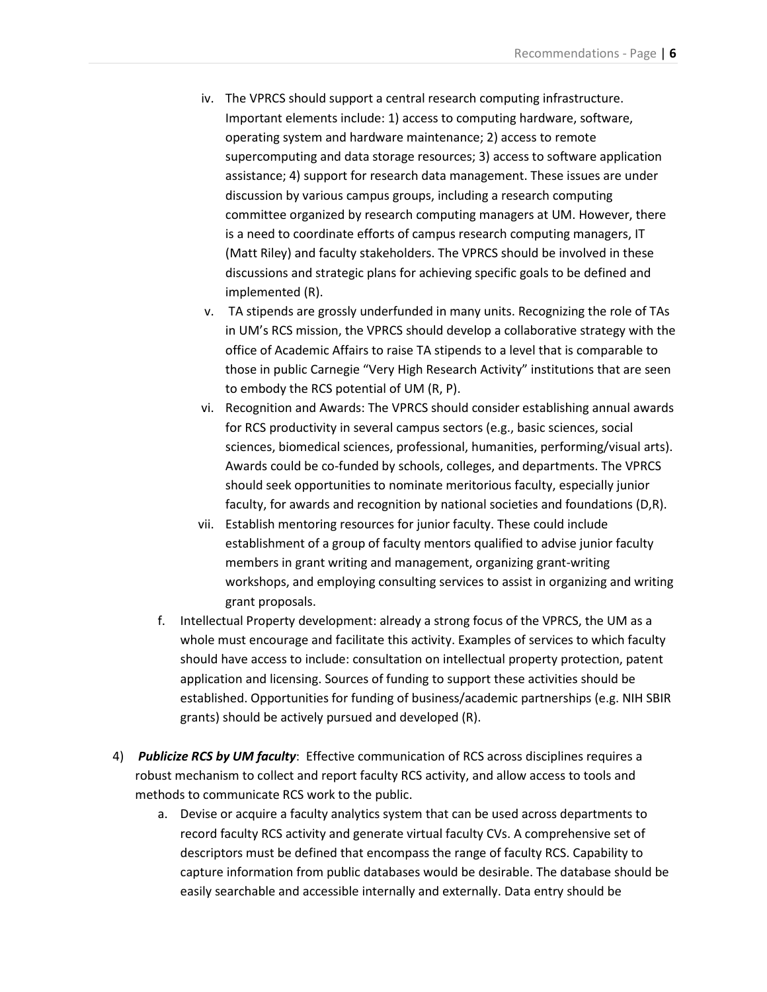- iv. The VPRCS should support a central research computing infrastructure. Important elements include: 1) access to computing hardware, software, operating system and hardware maintenance; 2) access to remote supercomputing and data storage resources; 3) access to software application assistance; 4) support for research data management. These issues are under discussion by various campus groups, including a research computing committee organized by research computing managers at UM. However, there is a need to coordinate efforts of campus research computing managers, IT (Matt Riley) and faculty stakeholders. The VPRCS should be involved in these discussions and strategic plans for achieving specific goals to be defined and implemented (R).
- v. TA stipends are grossly underfunded in many units. Recognizing the role of TAs in UM's RCS mission, the VPRCS should develop a collaborative strategy with the office of Academic Affairs to raise TA stipends to a level that is comparable to those in public Carnegie "Very High Research Activity" institutions that are seen to embody the RCS potential of UM (R, P).
- vi. Recognition and Awards: The VPRCS should consider establishing annual awards for RCS productivity in several campus sectors (e.g., basic sciences, social sciences, biomedical sciences, professional, humanities, performing/visual arts). Awards could be co-funded by schools, colleges, and departments. The VPRCS should seek opportunities to nominate meritorious faculty, especially junior faculty, for awards and recognition by national societies and foundations (D,R).
- vii. Establish mentoring resources for junior faculty. These could include establishment of a group of faculty mentors qualified to advise junior faculty members in grant writing and management, organizing grant-writing workshops, and employing consulting services to assist in organizing and writing grant proposals.
- f. Intellectual Property development: already a strong focus of the VPRCS, the UM as a whole must encourage and facilitate this activity. Examples of services to which faculty should have access to include: consultation on intellectual property protection, patent application and licensing. Sources of funding to support these activities should be established. Opportunities for funding of business/academic partnerships (e.g. NIH SBIR grants) should be actively pursued and developed (R).
- 4) *Publicize RCS by UM faculty*: Effective communication of RCS across disciplines requires a robust mechanism to collect and report faculty RCS activity, and allow access to tools and methods to communicate RCS work to the public.
	- a. Devise or acquire a faculty analytics system that can be used across departments to record faculty RCS activity and generate virtual faculty CVs. A comprehensive set of descriptors must be defined that encompass the range of faculty RCS. Capability to capture information from public databases would be desirable. The database should be easily searchable and accessible internally and externally. Data entry should be